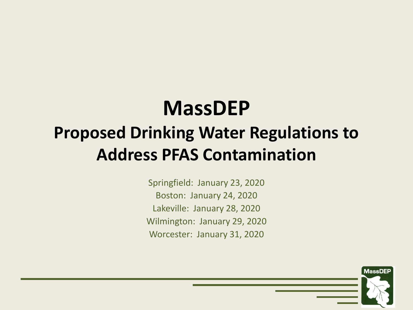# **MassDEP**

#### **Proposed Drinking Water Regulations to Address PFAS Contamination**

Springfield: January 23, 2020 Boston: January 24, 2020 Lakeville: January 28, 2020 Wilmington: January 29, 2020 Worcester: January 31, 2020

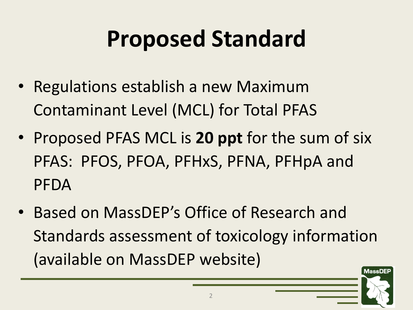## **Proposed Standard**

- Regulations establish a new Maximum Contaminant Level (MCL) for Total PFAS
- Proposed PFAS MCL is **20 ppt** for the sum of six PFAS: PFOS, PFOA, PFHxS, PFNA, PFHpA and PFDA
- Based on MassDEP's Office of Research and Standards assessment of toxicology information (available on MassDEP website)

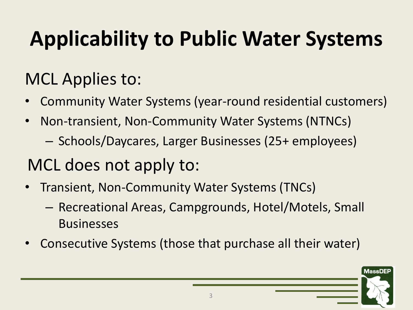#### **Applicability to Public Water Systems**

#### MCL Applies to:

- Community Water Systems (year-round residential customers)
- Non-transient, Non-Community Water Systems (NTNCs)
	- Schools/Daycares, Larger Businesses (25+ employees)

#### MCL does not apply to:

- Transient, Non-Community Water Systems (TNCs)
	- Recreational Areas, Campgrounds, Hotel/Motels, Small **Businesses**
- Consecutive Systems (those that purchase all their water)

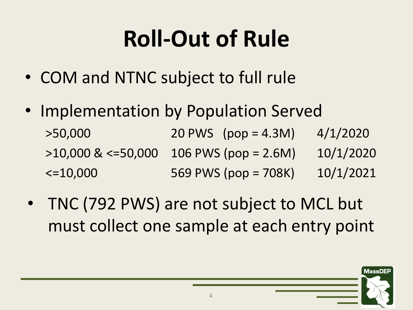# **Roll-Out of Rule**

- COM and NTNC subject to full rule
- Implementation by Population Served >50,000 20 PWS (pop = 4.3M) 4/1/2020  $>10,000$  &  $\leq$  =50,000 106 PWS (pop = 2.6M) 10/1/2020 <=10,000 569 PWS (pop = 708K) 10/1/2021
- TNC (792 PWS) are not subject to MCL but must collect one sample at each entry point

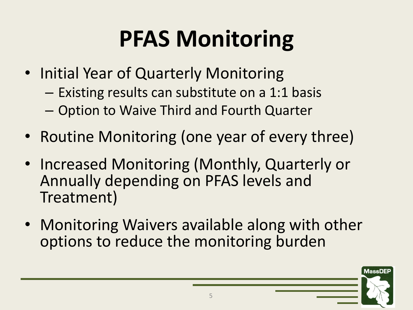### **PFAS Monitoring**

- Initial Year of Quarterly Monitoring
	- Existing results can substitute on a 1:1 basis
	- Option to Waive Third and Fourth Quarter
- Routine Monitoring (one year of every three)
- Increased Monitoring (Monthly, Quarterly or Annually depending on PFAS levels and Treatment)
- Monitoring Waivers available along with other options to reduce the monitoring burden

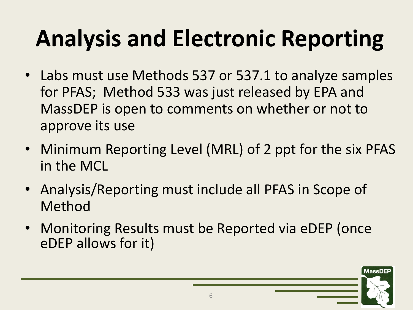# **Analysis and Electronic Reporting**

- Labs must use Methods 537 or 537.1 to analyze samples for PFAS; Method 533 was just released by EPA and MassDEP is open to comments on whether or not to approve its use
- Minimum Reporting Level (MRL) of 2 ppt for the six PFAS in the MCL
- Analysis/Reporting must include all PFAS in Scope of Method
- Monitoring Results must be Reported via eDEP (once eDEP allows for it)

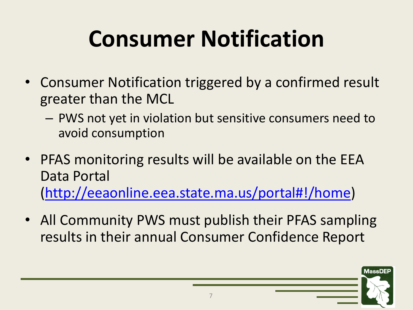## **Consumer Notification**

- Consumer Notification triggered by a confirmed result greater than the MCL
	- PWS not yet in violation but sensitive consumers need to avoid consumption
- PFAS monitoring results will be available on the EEA Data Portal [\(http://eeaonline.eea.state.ma.us/portal#!/home\)](http://eeaonline.eea.state.ma.us/portal#!/home)
- All Community PWS must publish their PFAS sampling results in their annual Consumer Confidence Report

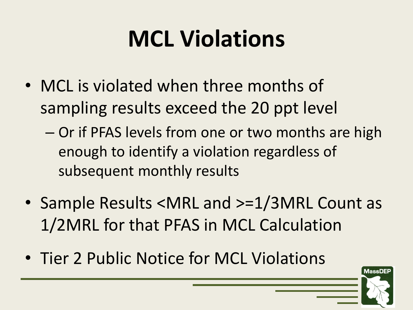# **MCL Violations**

- MCL is violated when three months of sampling results exceed the 20 ppt level
	- Or if PFAS levels from one or two months are high enough to identify a violation regardless of subsequent monthly results
- Sample Results <MRL and >=1/3MRL Count as 1/2MRL for that PFAS in MCL Calculation
- Tier 2 Public Notice for MCL Violations